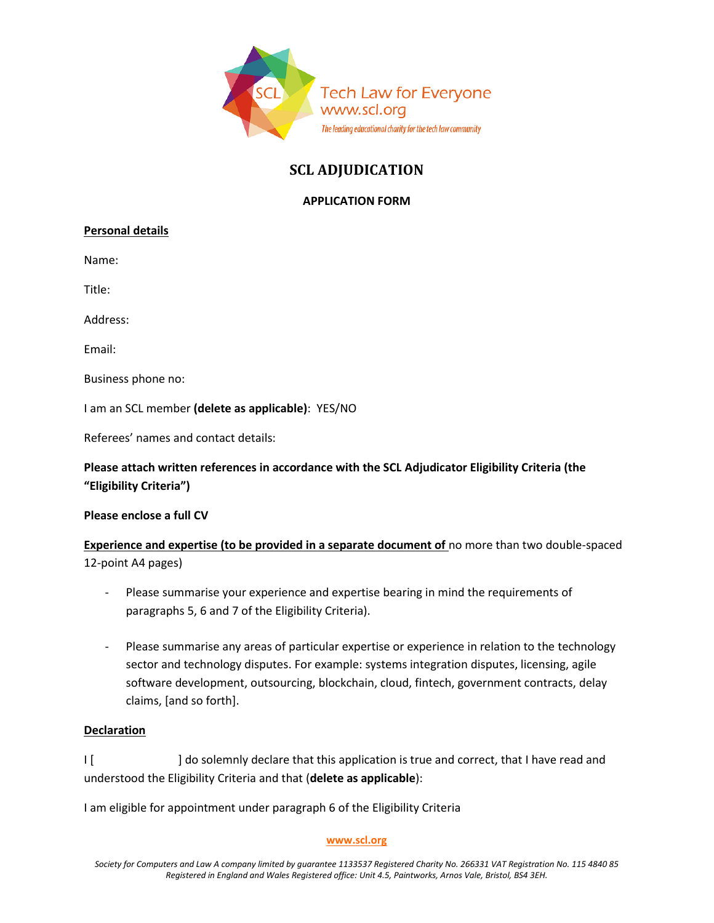

# **SCL ADJUDICATION**

## **APPLICATION FORM**

### **Personal details**

Name:

Title:

Address:

Email:

Business phone no:

I am an SCL member **(delete as applicable)**: YES/NO

Referees' names and contact details:

# **Please attach written references in accordance with the SCL Adjudicator Eligibility Criteria (the "Eligibility Criteria")**

#### **Please enclose a full CV**

**Experience and expertise (to be provided in a separate document of** no more than two double-spaced 12-point A4 pages)

- Please summarise your experience and expertise bearing in mind the requirements of paragraphs 5, 6 and 7 of the Eligibility Criteria).
- Please summarise any areas of particular expertise or experience in relation to the technology sector and technology disputes. For example: systems integration disputes, licensing, agile software development, outsourcing, blockchain, cloud, fintech, government contracts, delay claims, [and so forth].

#### **Declaration**

I [  $\blacksquare$  ] do solemnly declare that this application is true and correct, that I have read and understood the Eligibility Criteria and that (**delete as applicable**):

I am eligible for appointment under paragraph 6 of the Eligibility Criteria

#### **[www.scl.org](http://www.scl.org/)**

*Society for Computers and Law A company limited by guarantee 1133537 Registered Charity No. 266331 VAT Registration No. 115 4840 85 Registered in England and Wales Registered office: Unit 4.5, Paintworks, Arnos Vale, Bristol, BS4 3EH.*